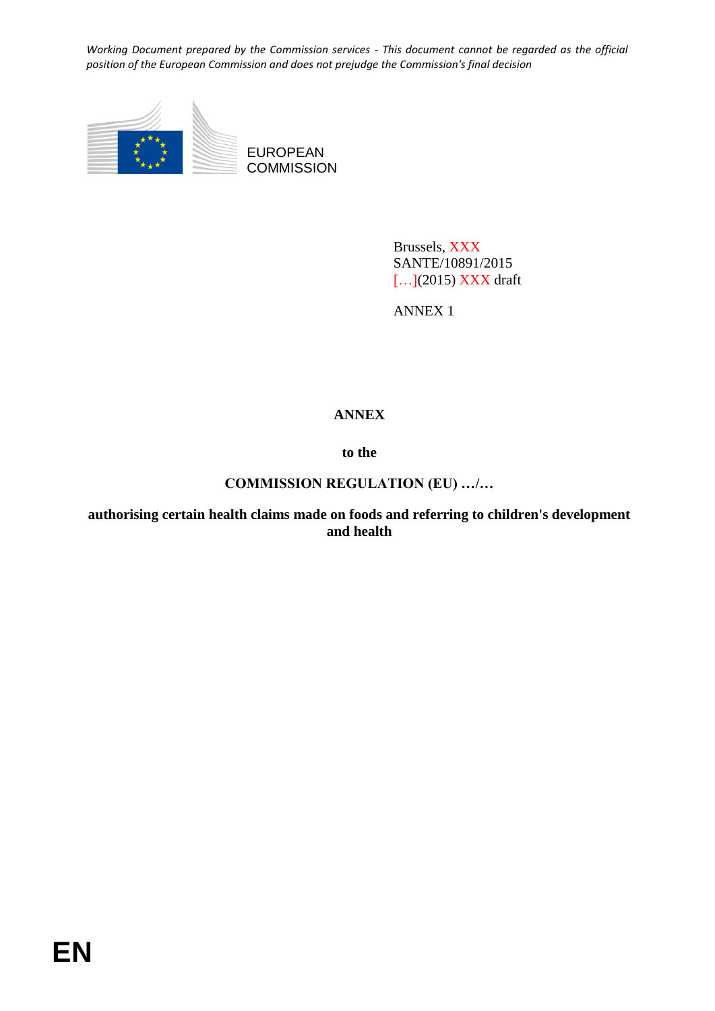

Brussels, XXX SANTE/10891/2015 [...](2015) **XXX** draft

ANNEX 1

# **ANNEX**

**to the**

## **COMMISSION REGULATION (EU) …/…**

**authorising certain health claims made on foods and referring to children's development and health**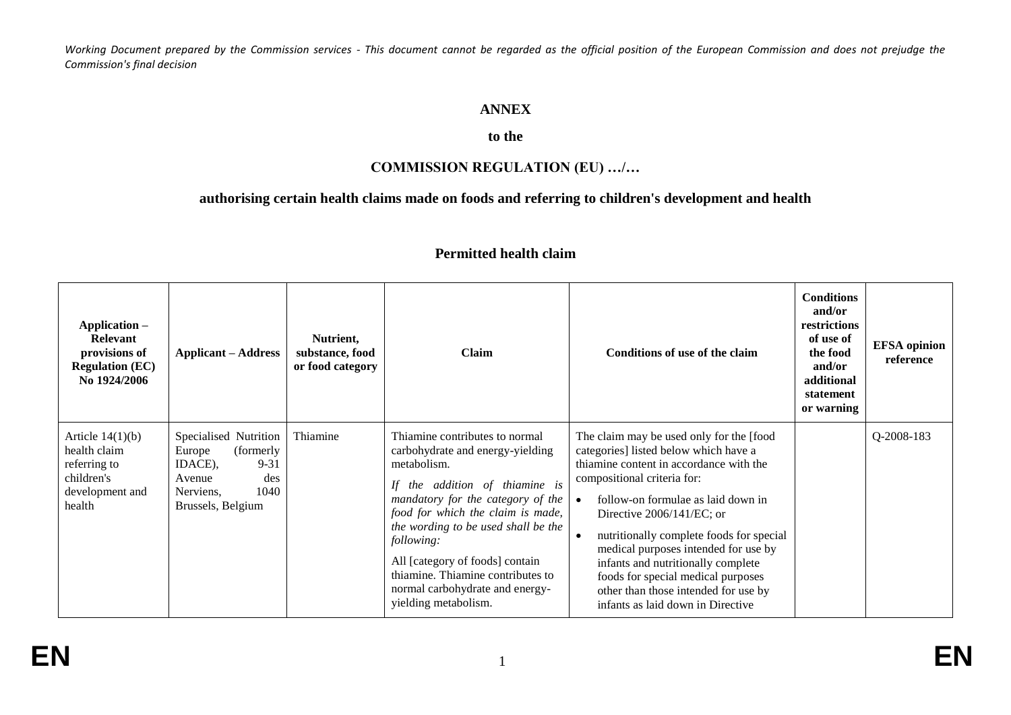## **ANNEX**

# **to the**

# **COMMISSION REGULATION (EU) …/…**

## **authorising certain health claims made on foods and referring to children's development and health**

| Application -<br><b>Relevant</b><br>provisions of<br><b>Regulation (EC)</b><br>No 1924/2006   | <b>Applicant – Address</b>                                                                                                     | Nutrient,<br>substance, food<br>or food category | Claim                                                                                                                                                                                                                                                                                                                                                                              | Conditions of use of the claim                                                                                                                                                                                                                                                                                                                                                                                                                                              | <b>Conditions</b><br>and/or<br>restrictions<br>of use of<br>the food<br>and/or<br>additional<br>statement<br>or warning | <b>EFSA</b> opinion<br>reference |
|-----------------------------------------------------------------------------------------------|--------------------------------------------------------------------------------------------------------------------------------|--------------------------------------------------|------------------------------------------------------------------------------------------------------------------------------------------------------------------------------------------------------------------------------------------------------------------------------------------------------------------------------------------------------------------------------------|-----------------------------------------------------------------------------------------------------------------------------------------------------------------------------------------------------------------------------------------------------------------------------------------------------------------------------------------------------------------------------------------------------------------------------------------------------------------------------|-------------------------------------------------------------------------------------------------------------------------|----------------------------------|
| Article $14(1)(b)$<br>health claim<br>referring to<br>children's<br>development and<br>health | Specialised Nutrition<br>(formerly<br>Europe<br>$9 - 31$<br>IDACE).<br>des<br>Avenue<br>1040<br>Nerviens,<br>Brussels, Belgium | Thiamine                                         | Thiamine contributes to normal<br>carbohydrate and energy-yielding<br>metabolism.<br>the addition of thiamine is<br>mandatory for the category of the<br>food for which the claim is made,<br>the wording to be used shall be the<br>following:<br>All [category of foods] contain<br>thiamine. Thiamine contributes to<br>normal carbohydrate and energy-<br>yielding metabolism. | The claim may be used only for the [food<br>categories] listed below which have a<br>thiamine content in accordance with the<br>compositional criteria for:<br>follow-on formulae as laid down in<br>Directive 2006/141/EC; or<br>nutritionally complete foods for special<br>medical purposes intended for use by<br>infants and nutritionally complete<br>foods for special medical purposes<br>other than those intended for use by<br>infants as laid down in Directive |                                                                                                                         | Q-2008-183                       |

## **Permitted health claim**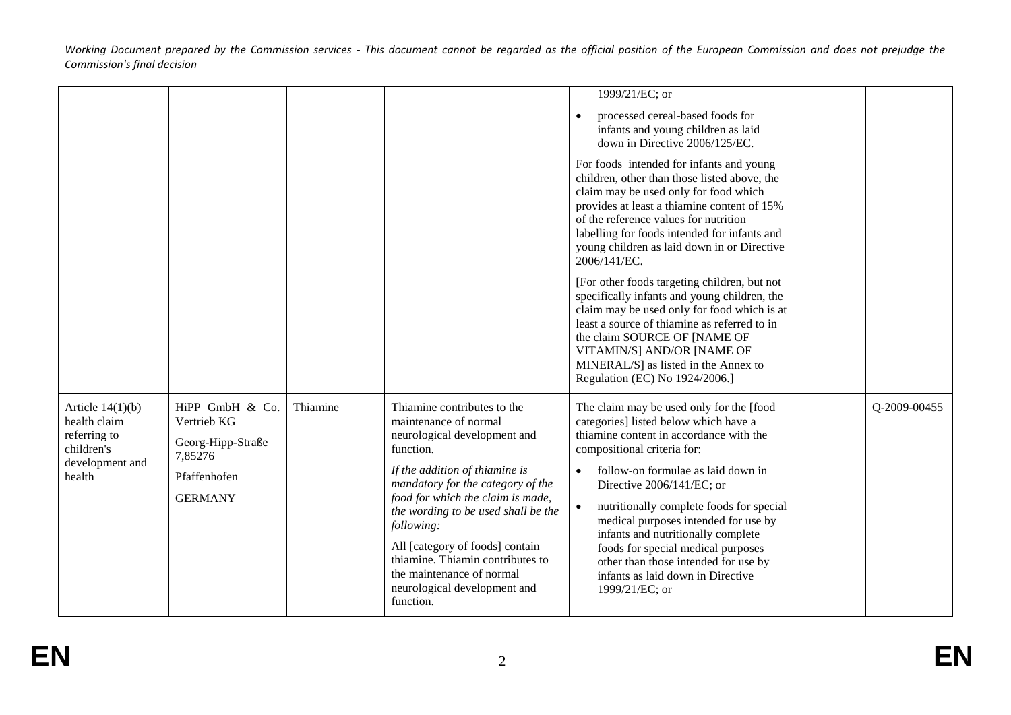|                                                                                               |                                                                                                  |          |                                                                                                                                                                                                                                                                                                                                                                                                                     | 1999/21/EC; or<br>processed cereal-based foods for<br>$\bullet$<br>infants and young children as laid<br>down in Directive 2006/125/EC.<br>For foods intended for infants and young<br>children, other than those listed above, the                                                                                                                                                                                                                                                                        |              |
|-----------------------------------------------------------------------------------------------|--------------------------------------------------------------------------------------------------|----------|---------------------------------------------------------------------------------------------------------------------------------------------------------------------------------------------------------------------------------------------------------------------------------------------------------------------------------------------------------------------------------------------------------------------|------------------------------------------------------------------------------------------------------------------------------------------------------------------------------------------------------------------------------------------------------------------------------------------------------------------------------------------------------------------------------------------------------------------------------------------------------------------------------------------------------------|--------------|
|                                                                                               |                                                                                                  |          |                                                                                                                                                                                                                                                                                                                                                                                                                     | claim may be used only for food which<br>provides at least a thiamine content of 15%<br>of the reference values for nutrition<br>labelling for foods intended for infants and<br>young children as laid down in or Directive<br>2006/141/EC.                                                                                                                                                                                                                                                               |              |
|                                                                                               |                                                                                                  |          |                                                                                                                                                                                                                                                                                                                                                                                                                     | [For other foods targeting children, but not<br>specifically infants and young children, the<br>claim may be used only for food which is at<br>least a source of thiamine as referred to in<br>the claim SOURCE OF [NAME OF<br>VITAMIN/S] AND/OR [NAME OF<br>MINERAL/S] as listed in the Annex to<br>Regulation (EC) No 1924/2006.]                                                                                                                                                                        |              |
| Article $14(1)(b)$<br>health claim<br>referring to<br>children's<br>development and<br>health | HiPP GmbH & Co.<br>Vertrieb KG<br>Georg-Hipp-Straße<br>7,85276<br>Pfaffenhofen<br><b>GERMANY</b> | Thiamine | Thiamine contributes to the<br>maintenance of normal<br>neurological development and<br>function.<br>If the addition of thiamine is<br>mandatory for the category of the<br>food for which the claim is made,<br>the wording to be used shall be the<br>following:<br>All [category of foods] contain<br>thiamine. Thiamin contributes to<br>the maintenance of normal<br>neurological development and<br>function. | The claim may be used only for the [food<br>categories] listed below which have a<br>thiamine content in accordance with the<br>compositional criteria for:<br>follow-on formulae as laid down in<br>$\bullet$<br>Directive 2006/141/EC; or<br>nutritionally complete foods for special<br>medical purposes intended for use by<br>infants and nutritionally complete<br>foods for special medical purposes<br>other than those intended for use by<br>infants as laid down in Directive<br>1999/21/EC; or | Q-2009-00455 |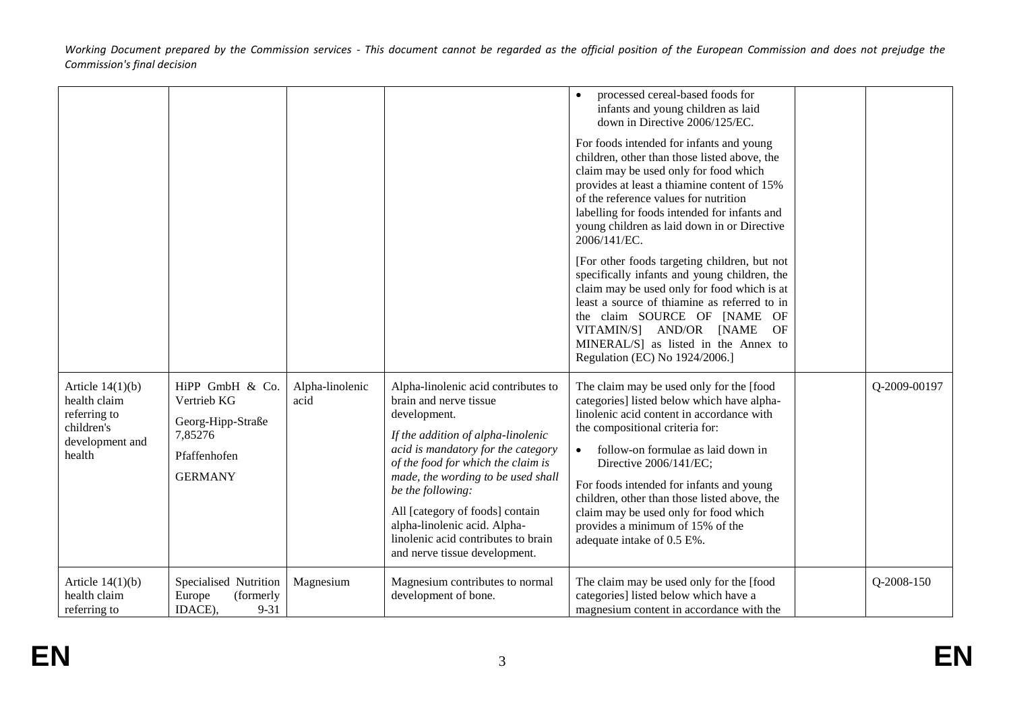|                                                                                               |                                                                                                  |                         |                                                                                                                                                                                                                                                                                                                                                                                                       | processed cereal-based foods for<br>$\bullet$<br>infants and young children as laid<br>down in Directive 2006/125/EC.<br>For foods intended for infants and young<br>children, other than those listed above, the<br>claim may be used only for food which<br>provides at least a thiamine content of 15%<br>of the reference values for nutrition<br>labelling for foods intended for infants and<br>young children as laid down in or Directive<br>2006/141/EC.<br>[For other foods targeting children, but not<br>specifically infants and young children, the<br>claim may be used only for food which is at<br>least a source of thiamine as referred to in<br>the claim SOURCE OF [NAME OF<br>VITAMIN/S] AND/OR [NAME<br>OF<br>MINERAL/S] as listed in the Annex to<br>Regulation (EC) No 1924/2006.] |              |
|-----------------------------------------------------------------------------------------------|--------------------------------------------------------------------------------------------------|-------------------------|-------------------------------------------------------------------------------------------------------------------------------------------------------------------------------------------------------------------------------------------------------------------------------------------------------------------------------------------------------------------------------------------------------|-------------------------------------------------------------------------------------------------------------------------------------------------------------------------------------------------------------------------------------------------------------------------------------------------------------------------------------------------------------------------------------------------------------------------------------------------------------------------------------------------------------------------------------------------------------------------------------------------------------------------------------------------------------------------------------------------------------------------------------------------------------------------------------------------------------|--------------|
| Article $14(1)(b)$<br>health claim<br>referring to<br>children's<br>development and<br>health | HiPP GmbH & Co.<br>Vertrieb KG<br>Georg-Hipp-Straße<br>7,85276<br>Pfaffenhofen<br><b>GERMANY</b> | Alpha-linolenic<br>acid | Alpha-linolenic acid contributes to<br>brain and nerve tissue<br>development.<br>If the addition of alpha-linolenic<br>acid is mandatory for the category<br>of the food for which the claim is<br>made, the wording to be used shall<br>be the following:<br>All [category of foods] contain<br>alpha-linolenic acid. Alpha-<br>linolenic acid contributes to brain<br>and nerve tissue development. | The claim may be used only for the [food<br>categories] listed below which have alpha-<br>linolenic acid content in accordance with<br>the compositional criteria for:<br>follow-on formulae as laid down in<br>Directive 2006/141/EC;<br>For foods intended for infants and young<br>children, other than those listed above, the<br>claim may be used only for food which<br>provides a minimum of 15% of the<br>adequate intake of 0.5 E%.                                                                                                                                                                                                                                                                                                                                                               | Q-2009-00197 |
| Article $14(1)(b)$<br>health claim<br>referring to                                            | Specialised Nutrition<br>Europe<br>(formerly<br>IDACE),<br>$9 - 31$                              | Magnesium               | Magnesium contributes to normal<br>development of bone.                                                                                                                                                                                                                                                                                                                                               | The claim may be used only for the [food<br>categories] listed below which have a<br>magnesium content in accordance with the                                                                                                                                                                                                                                                                                                                                                                                                                                                                                                                                                                                                                                                                               | Q-2008-150   |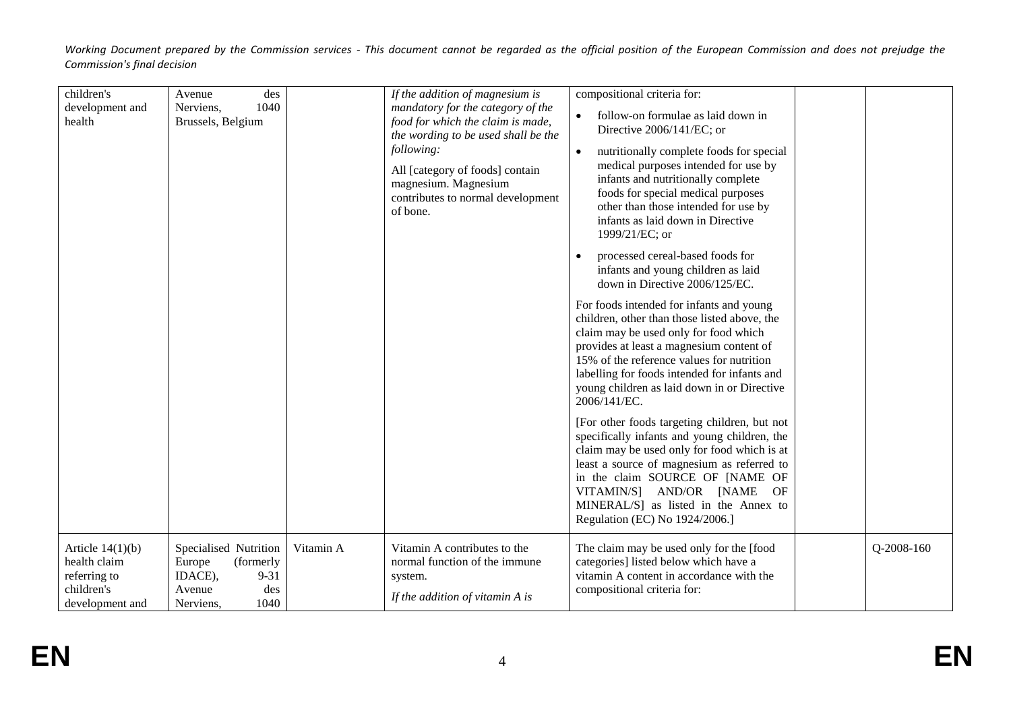| children's<br>development and<br>health                                             | des<br>Avenue<br>1040<br>Nerviens,<br>Brussels, Belgium                                                   |           | If the addition of magnesium is<br>mandatory for the category of the<br>food for which the claim is made,<br>the wording to be used shall be the<br>following:<br>All [category of foods] contain<br>magnesium. Magnesium<br>contributes to normal development<br>of bone. | compositional criteria for:<br>follow-on formulae as laid down in<br>$\bullet$<br>Directive 2006/141/EC; or<br>nutritionally complete foods for special<br>medical purposes intended for use by<br>infants and nutritionally complete<br>foods for special medical purposes<br>other than those intended for use by<br>infants as laid down in Directive<br>1999/21/EC; or<br>processed cereal-based foods for<br>infants and young children as laid<br>down in Directive 2006/125/EC.<br>For foods intended for infants and young<br>children, other than those listed above, the<br>claim may be used only for food which<br>provides at least a magnesium content of<br>15% of the reference values for nutrition<br>labelling for foods intended for infants and<br>young children as laid down in or Directive<br>2006/141/EC.<br>[For other foods targeting children, but not<br>specifically infants and young children, the<br>claim may be used only for food which is at<br>least a source of magnesium as referred to<br>in the claim SOURCE OF [NAME OF<br>VITAMIN/S] AND/OR [NAME OF<br>MINERAL/S] as listed in the Annex to<br>Regulation (EC) No 1924/2006.] |              |
|-------------------------------------------------------------------------------------|-----------------------------------------------------------------------------------------------------------|-----------|----------------------------------------------------------------------------------------------------------------------------------------------------------------------------------------------------------------------------------------------------------------------------|-----------------------------------------------------------------------------------------------------------------------------------------------------------------------------------------------------------------------------------------------------------------------------------------------------------------------------------------------------------------------------------------------------------------------------------------------------------------------------------------------------------------------------------------------------------------------------------------------------------------------------------------------------------------------------------------------------------------------------------------------------------------------------------------------------------------------------------------------------------------------------------------------------------------------------------------------------------------------------------------------------------------------------------------------------------------------------------------------------------------------------------------------------------------------------|--------------|
| Article $14(1)(b)$<br>health claim<br>referring to<br>children's<br>development and | Specialised Nutrition<br>(formerly<br>Europe<br>IDACE),<br>$9 - 31$<br>des<br>Avenue<br>1040<br>Nerviens, | Vitamin A | Vitamin A contributes to the<br>normal function of the immune<br>system.<br>If the addition of vitamin A is                                                                                                                                                                | The claim may be used only for the [food<br>categories] listed below which have a<br>vitamin A content in accordance with the<br>compositional criteria for:                                                                                                                                                                                                                                                                                                                                                                                                                                                                                                                                                                                                                                                                                                                                                                                                                                                                                                                                                                                                                | $Q-2008-160$ |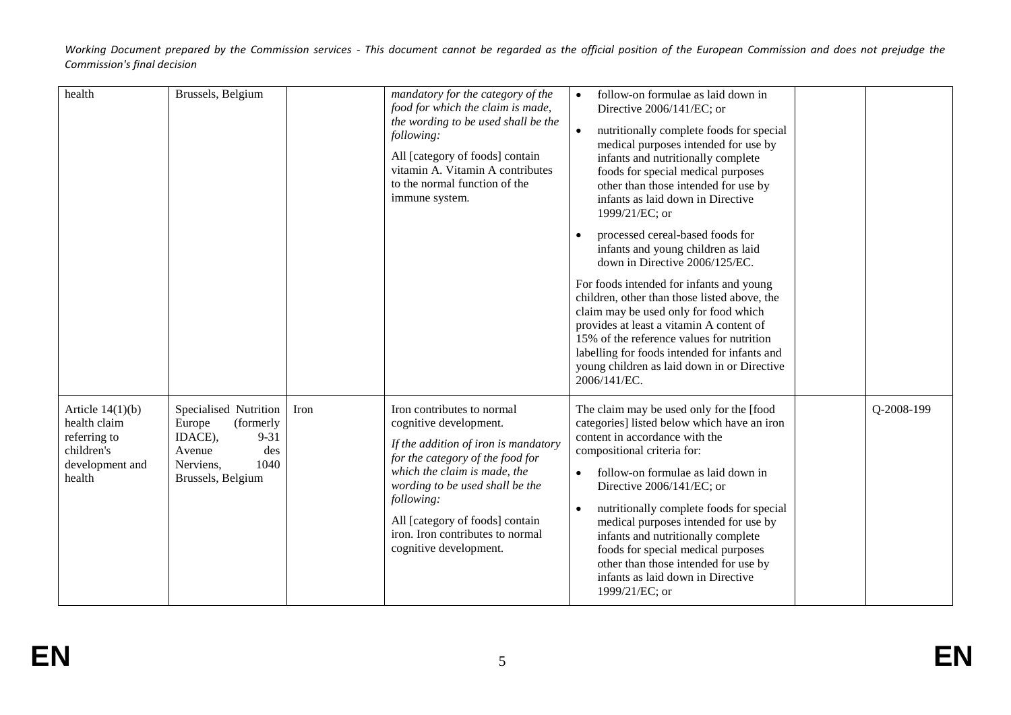| health                                                                                        | Brussels, Belgium                                                                                                              |      | mandatory for the category of the<br>food for which the claim is made,<br>the wording to be used shall be the<br>following:<br>All [category of foods] contain<br>vitamin A. Vitamin A contributes<br>to the normal function of the<br>immune system.                                                              | follow-on formulae as laid down in<br>$\bullet$<br>Directive 2006/141/EC; or<br>nutritionally complete foods for special<br>medical purposes intended for use by<br>infants and nutritionally complete<br>foods for special medical purposes<br>other than those intended for use by<br>infants as laid down in Directive<br>1999/21/EC; or<br>processed cereal-based foods for<br>infants and young children as laid<br>down in Directive 2006/125/EC.<br>For foods intended for infants and young<br>children, other than those listed above, the<br>claim may be used only for food which<br>provides at least a vitamin A content of<br>15% of the reference values for nutrition<br>labelling for foods intended for infants and<br>young children as laid down in or Directive<br>2006/141/EC. |
|-----------------------------------------------------------------------------------------------|--------------------------------------------------------------------------------------------------------------------------------|------|--------------------------------------------------------------------------------------------------------------------------------------------------------------------------------------------------------------------------------------------------------------------------------------------------------------------|------------------------------------------------------------------------------------------------------------------------------------------------------------------------------------------------------------------------------------------------------------------------------------------------------------------------------------------------------------------------------------------------------------------------------------------------------------------------------------------------------------------------------------------------------------------------------------------------------------------------------------------------------------------------------------------------------------------------------------------------------------------------------------------------------|
| Article $14(1)(b)$<br>health claim<br>referring to<br>children's<br>development and<br>health | Specialised Nutrition<br>(formerly<br>Europe<br>IDACE),<br>$9 - 31$<br>des<br>Avenue<br>1040<br>Nerviens,<br>Brussels, Belgium | Iron | Iron contributes to normal<br>cognitive development.<br>If the addition of iron is mandatory<br>for the category of the food for<br>which the claim is made, the<br>wording to be used shall be the<br>following:<br>All [category of foods] contain<br>iron. Iron contributes to normal<br>cognitive development. | Q-2008-199<br>The claim may be used only for the [food<br>categories] listed below which have an iron<br>content in accordance with the<br>compositional criteria for:<br>follow-on formulae as laid down in<br>$\bullet$<br>Directive 2006/141/EC; or<br>nutritionally complete foods for special<br>$\bullet$<br>medical purposes intended for use by<br>infants and nutritionally complete<br>foods for special medical purposes<br>other than those intended for use by<br>infants as laid down in Directive<br>1999/21/EC; or                                                                                                                                                                                                                                                                   |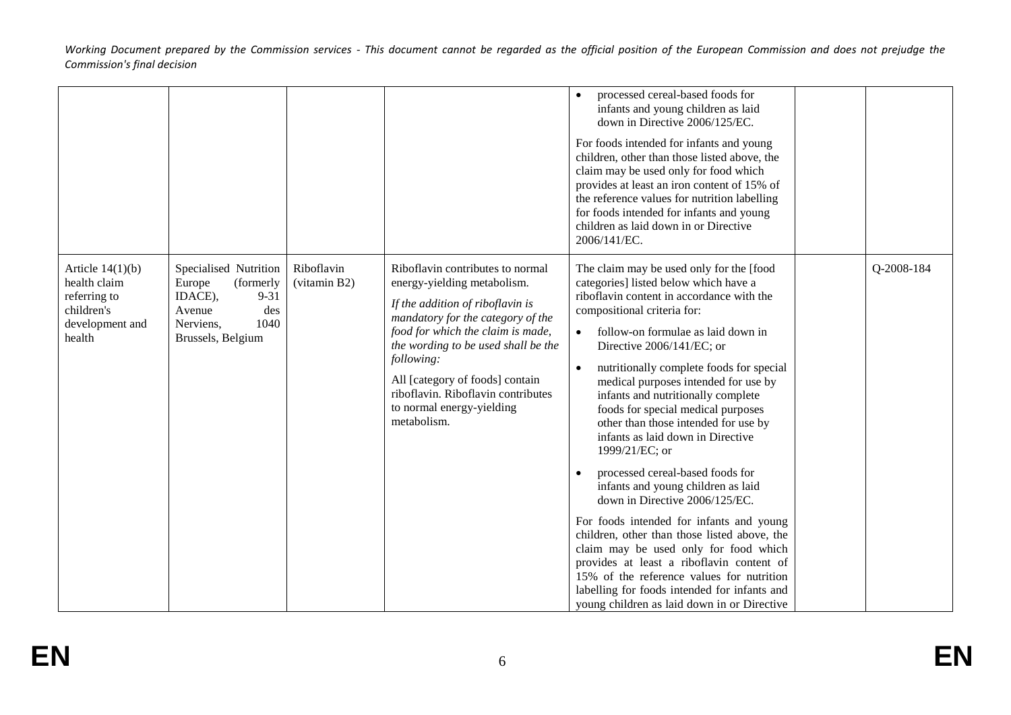|                                                                                               |                                                                                                                                |                            |                                                                                                                                                                                                                                                                                                                                                         | processed cereal-based foods for<br>infants and young children as laid<br>down in Directive 2006/125/EC.<br>For foods intended for infants and young<br>children, other than those listed above, the<br>claim may be used only for food which<br>provides at least an iron content of 15% of<br>the reference values for nutrition labelling<br>for foods intended for infants and young<br>children as laid down in or Directive<br>2006/141/EC.                                                                                                                                                                                                                                                                                                                                                                                                                                                                                                      |            |
|-----------------------------------------------------------------------------------------------|--------------------------------------------------------------------------------------------------------------------------------|----------------------------|---------------------------------------------------------------------------------------------------------------------------------------------------------------------------------------------------------------------------------------------------------------------------------------------------------------------------------------------------------|--------------------------------------------------------------------------------------------------------------------------------------------------------------------------------------------------------------------------------------------------------------------------------------------------------------------------------------------------------------------------------------------------------------------------------------------------------------------------------------------------------------------------------------------------------------------------------------------------------------------------------------------------------------------------------------------------------------------------------------------------------------------------------------------------------------------------------------------------------------------------------------------------------------------------------------------------------|------------|
| Article $14(1)(b)$<br>health claim<br>referring to<br>children's<br>development and<br>health | Specialised Nutrition<br>Europe<br>(formerly<br>IDACE),<br>$9 - 31$<br>des<br>Avenue<br>1040<br>Nerviens,<br>Brussels, Belgium | Riboflavin<br>(vitamin B2) | Riboflavin contributes to normal<br>energy-yielding metabolism.<br>If the addition of riboflavin is<br>mandatory for the category of the<br>food for which the claim is made,<br>the wording to be used shall be the<br>following:<br>All [category of foods] contain<br>riboflavin. Riboflavin contributes<br>to normal energy-yielding<br>metabolism. | The claim may be used only for the [food<br>categories] listed below which have a<br>riboflavin content in accordance with the<br>compositional criteria for:<br>follow-on formulae as laid down in<br>Directive 2006/141/EC; or<br>nutritionally complete foods for special<br>$\bullet$<br>medical purposes intended for use by<br>infants and nutritionally complete<br>foods for special medical purposes<br>other than those intended for use by<br>infants as laid down in Directive<br>1999/21/EC; or<br>processed cereal-based foods for<br>infants and young children as laid<br>down in Directive 2006/125/EC.<br>For foods intended for infants and young<br>children, other than those listed above, the<br>claim may be used only for food which<br>provides at least a riboflavin content of<br>15% of the reference values for nutrition<br>labelling for foods intended for infants and<br>young children as laid down in or Directive | Q-2008-184 |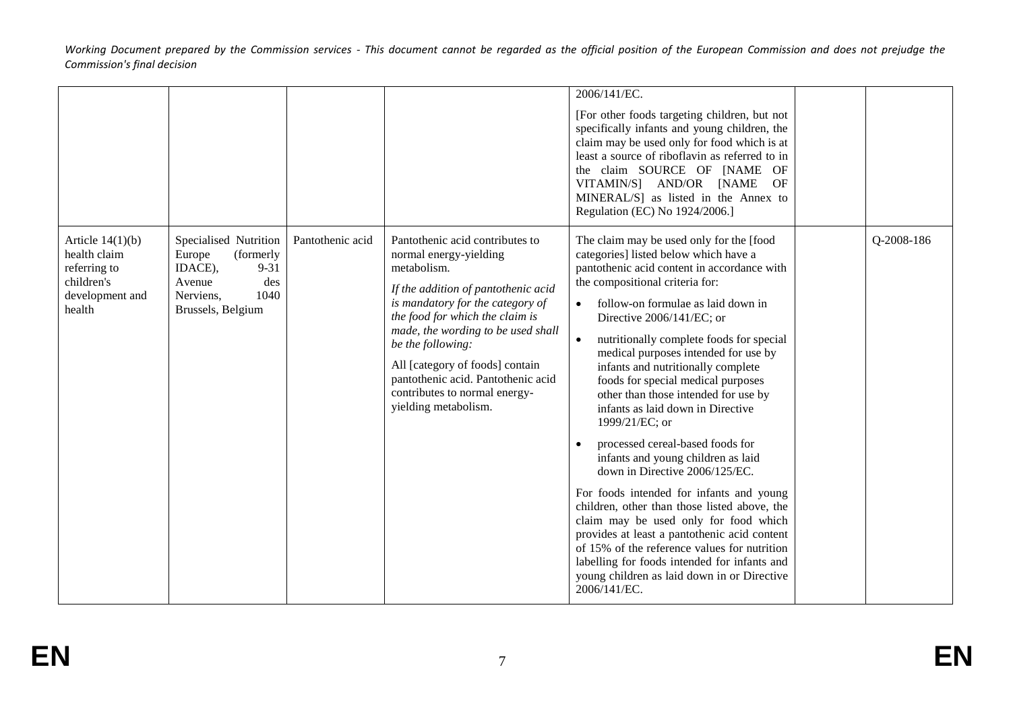|                                                                                                                                                                                         |                                                          |                                                                                                                                                                                                                                                                                                                                                                                     | 2006/141/EC.<br>[For other foods targeting children, but not<br>specifically infants and young children, the<br>claim may be used only for food which is at<br>least a source of riboflavin as referred to in<br>the claim SOURCE OF [NAME OF<br>VITAMIN/S] AND/OR [NAME<br>OF<br>MINERAL/S] as listed in the Annex to<br>Regulation (EC) No 1924/2006.]                                                                                                                                                                                                                                                                                                                                                                                                                                                                                                                                                                                                              |            |
|-----------------------------------------------------------------------------------------------------------------------------------------------------------------------------------------|----------------------------------------------------------|-------------------------------------------------------------------------------------------------------------------------------------------------------------------------------------------------------------------------------------------------------------------------------------------------------------------------------------------------------------------------------------|-----------------------------------------------------------------------------------------------------------------------------------------------------------------------------------------------------------------------------------------------------------------------------------------------------------------------------------------------------------------------------------------------------------------------------------------------------------------------------------------------------------------------------------------------------------------------------------------------------------------------------------------------------------------------------------------------------------------------------------------------------------------------------------------------------------------------------------------------------------------------------------------------------------------------------------------------------------------------|------------|
| Article $14(1)(b)$<br>Specialised Nutrition<br>health claim<br>Europe<br>referring to<br>IDACE),<br>children's<br>Avenue<br>development and<br>Nerviens.<br>health<br>Brussels, Belgium | Pantothenic acid<br>(formerly<br>$9 - 31$<br>des<br>1040 | Pantothenic acid contributes to<br>normal energy-yielding<br>metabolism.<br>If the addition of pantothenic acid<br>is mandatory for the category of<br>the food for which the claim is<br>made, the wording to be used shall<br>be the following:<br>All [category of foods] contain<br>pantothenic acid. Pantothenic acid<br>contributes to normal energy-<br>yielding metabolism. | The claim may be used only for the [food<br>categories] listed below which have a<br>pantothenic acid content in accordance with<br>the compositional criteria for:<br>follow-on formulae as laid down in<br>Directive 2006/141/EC; or<br>nutritionally complete foods for special<br>medical purposes intended for use by<br>infants and nutritionally complete<br>foods for special medical purposes<br>other than those intended for use by<br>infants as laid down in Directive<br>1999/21/EC; or<br>processed cereal-based foods for<br>infants and young children as laid<br>down in Directive 2006/125/EC.<br>For foods intended for infants and young<br>children, other than those listed above, the<br>claim may be used only for food which<br>provides at least a pantothenic acid content<br>of 15% of the reference values for nutrition<br>labelling for foods intended for infants and<br>young children as laid down in or Directive<br>2006/141/EC. | Q-2008-186 |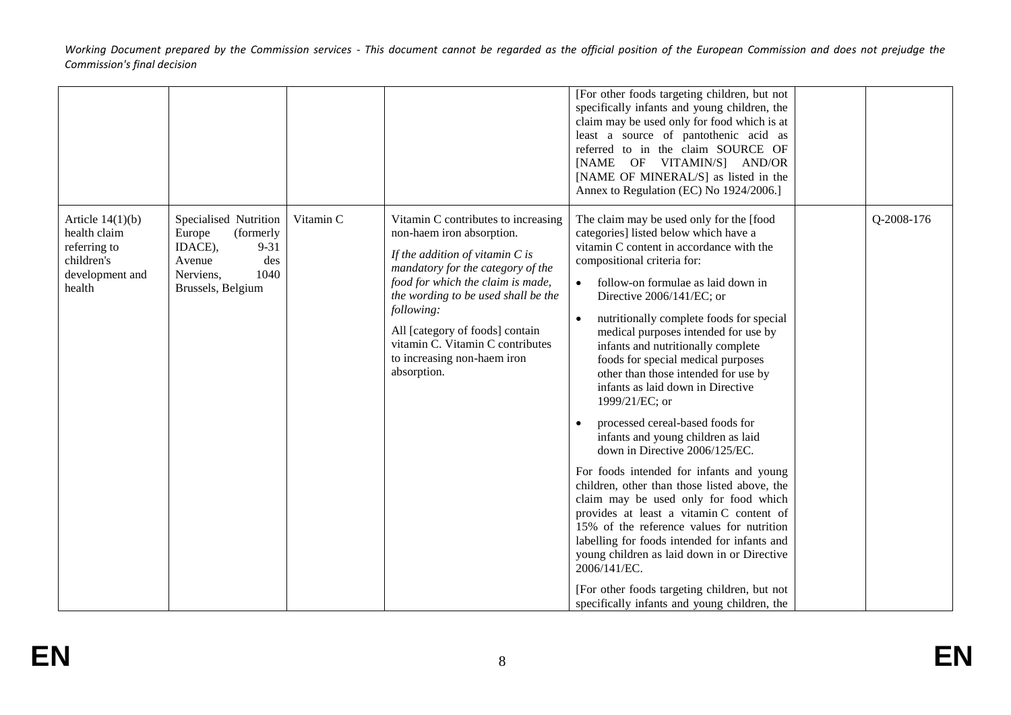|                                                                                               |                                                                                                                                |           |                                                                                                                                                                                                                                                                                                                                                           | [For other foods targeting children, but not<br>specifically infants and young children, the<br>claim may be used only for food which is at<br>least a source of pantothenic acid as<br>referred to in the claim SOURCE OF<br>[NAME OF VITAMIN/S] AND/OR<br>[NAME OF MINERAL/S] as listed in the<br>Annex to Regulation (EC) No 1924/2006.]                                                                                                                                                                                                                                                                                                                                                                                                                                                                                                                                                                                                                                                                                                                          |            |
|-----------------------------------------------------------------------------------------------|--------------------------------------------------------------------------------------------------------------------------------|-----------|-----------------------------------------------------------------------------------------------------------------------------------------------------------------------------------------------------------------------------------------------------------------------------------------------------------------------------------------------------------|----------------------------------------------------------------------------------------------------------------------------------------------------------------------------------------------------------------------------------------------------------------------------------------------------------------------------------------------------------------------------------------------------------------------------------------------------------------------------------------------------------------------------------------------------------------------------------------------------------------------------------------------------------------------------------------------------------------------------------------------------------------------------------------------------------------------------------------------------------------------------------------------------------------------------------------------------------------------------------------------------------------------------------------------------------------------|------------|
| Article $14(1)(b)$<br>health claim<br>referring to<br>children's<br>development and<br>health | Specialised Nutrition<br>Europe<br>(formerly<br>$9 - 31$<br>IDACE),<br>des<br>Avenue<br>1040<br>Nerviens,<br>Brussels, Belgium | Vitamin C | Vitamin C contributes to increasing<br>non-haem iron absorption.<br>If the addition of vitamin $C$ is<br>mandatory for the category of the<br>food for which the claim is made,<br>the wording to be used shall be the<br>following:<br>All [category of foods] contain<br>vitamin C. Vitamin C contributes<br>to increasing non-haem iron<br>absorption. | The claim may be used only for the [food<br>categories] listed below which have a<br>vitamin C content in accordance with the<br>compositional criteria for:<br>follow-on formulae as laid down in<br>Directive 2006/141/EC; or<br>nutritionally complete foods for special<br>$\bullet$<br>medical purposes intended for use by<br>infants and nutritionally complete<br>foods for special medical purposes<br>other than those intended for use by<br>infants as laid down in Directive<br>1999/21/EC; or<br>processed cereal-based foods for<br>infants and young children as laid<br>down in Directive 2006/125/EC.<br>For foods intended for infants and young<br>children, other than those listed above, the<br>claim may be used only for food which<br>provides at least a vitamin C content of<br>15% of the reference values for nutrition<br>labelling for foods intended for infants and<br>young children as laid down in or Directive<br>2006/141/EC.<br>[For other foods targeting children, but not<br>specifically infants and young children, the | Q-2008-176 |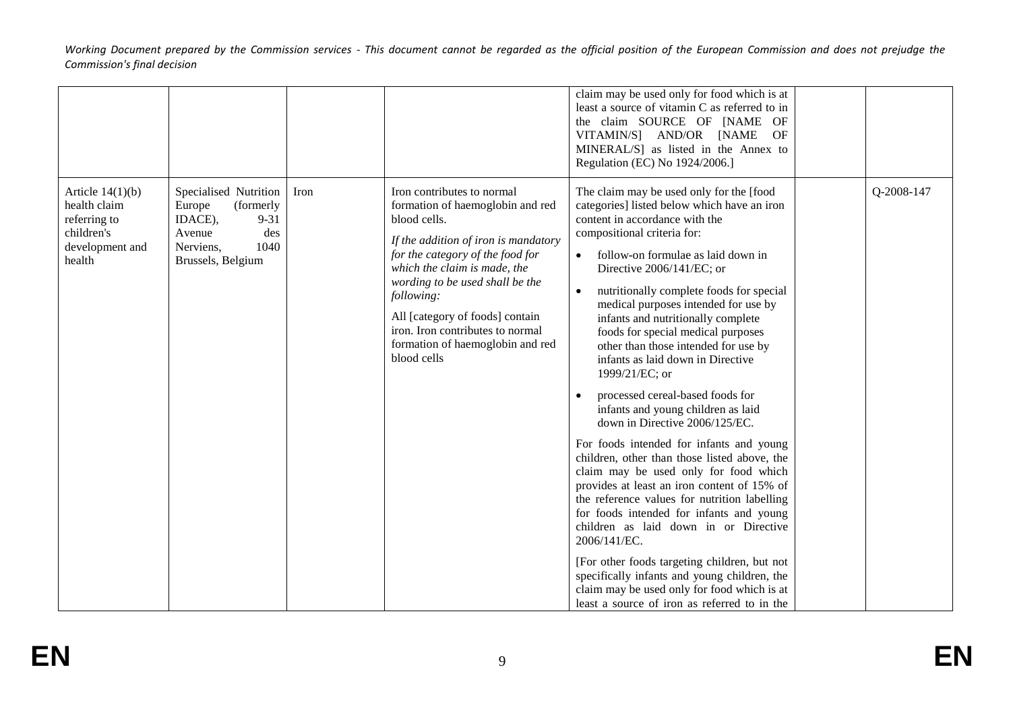|                                                                                               |                                                                                                                                |      |                                                                                                                                                                                                                                                                                                                                                                       | claim may be used only for food which is at<br>least a source of vitamin C as referred to in<br>the claim SOURCE OF [NAME OF<br>VITAMIN/S] AND/OR [NAME<br>OF<br>MINERAL/S] as listed in the Annex to<br>Regulation (EC) No 1924/2006.]                                                                                                                                                                                                                                                                                                                                                                                                                                                                                                                                                                                                                                                                                                                                                                                                                                                                                                                     |            |
|-----------------------------------------------------------------------------------------------|--------------------------------------------------------------------------------------------------------------------------------|------|-----------------------------------------------------------------------------------------------------------------------------------------------------------------------------------------------------------------------------------------------------------------------------------------------------------------------------------------------------------------------|-------------------------------------------------------------------------------------------------------------------------------------------------------------------------------------------------------------------------------------------------------------------------------------------------------------------------------------------------------------------------------------------------------------------------------------------------------------------------------------------------------------------------------------------------------------------------------------------------------------------------------------------------------------------------------------------------------------------------------------------------------------------------------------------------------------------------------------------------------------------------------------------------------------------------------------------------------------------------------------------------------------------------------------------------------------------------------------------------------------------------------------------------------------|------------|
| Article $14(1)(b)$<br>health claim<br>referring to<br>children's<br>development and<br>health | Specialised Nutrition<br>Europe<br>(formerly<br>IDACE),<br>$9 - 31$<br>Avenue<br>des<br>1040<br>Nerviens,<br>Brussels, Belgium | Iron | Iron contributes to normal<br>formation of haemoglobin and red<br>blood cells.<br>If the addition of iron is mandatory<br>for the category of the food for<br>which the claim is made, the<br>wording to be used shall be the<br>following:<br>All [category of foods] contain<br>iron. Iron contributes to normal<br>formation of haemoglobin and red<br>blood cells | The claim may be used only for the [food<br>categories] listed below which have an iron<br>content in accordance with the<br>compositional criteria for:<br>follow-on formulae as laid down in<br>Directive 2006/141/EC; or<br>nutritionally complete foods for special<br>$\bullet$<br>medical purposes intended for use by<br>infants and nutritionally complete<br>foods for special medical purposes<br>other than those intended for use by<br>infants as laid down in Directive<br>1999/21/EC; or<br>processed cereal-based foods for<br>infants and young children as laid<br>down in Directive 2006/125/EC.<br>For foods intended for infants and young<br>children, other than those listed above, the<br>claim may be used only for food which<br>provides at least an iron content of 15% of<br>the reference values for nutrition labelling<br>for foods intended for infants and young<br>children as laid down in or Directive<br>2006/141/EC.<br>[For other foods targeting children, but not<br>specifically infants and young children, the<br>claim may be used only for food which is at<br>least a source of iron as referred to in the | Q-2008-147 |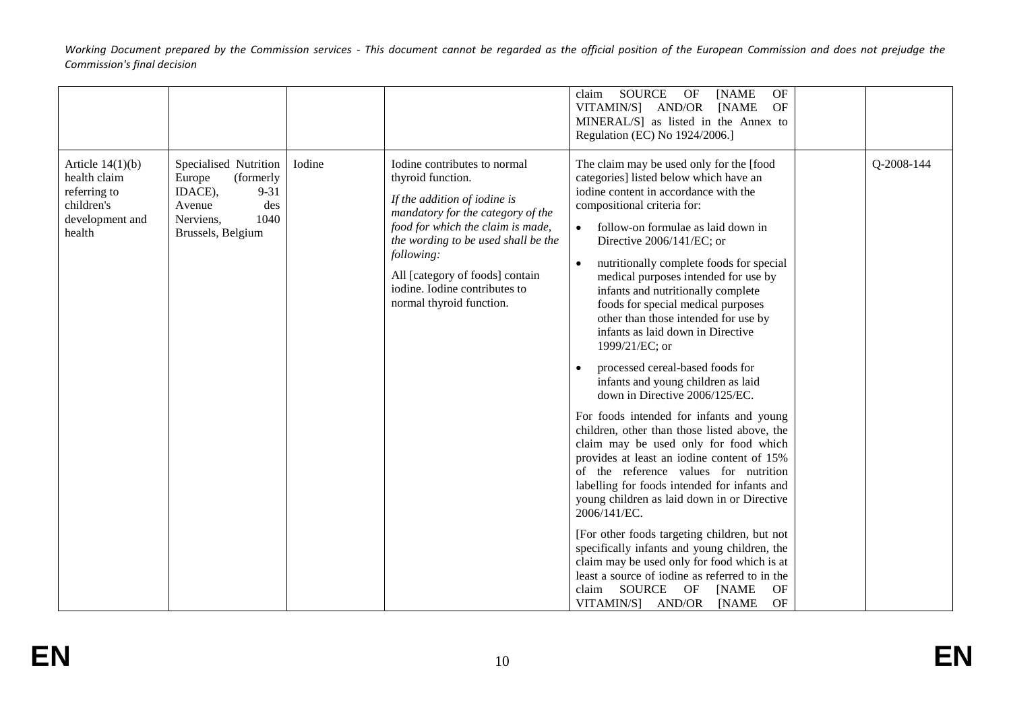|                                                                                               |                                                                                                                                |        |                                                                                                                                                                                                                                                                                                                  | <b>SOURCE</b><br>OF<br>claim<br>OF<br>[NAME<br><b>OF</b><br>VITAMIN/S] AND/OR<br>[NAME<br>MINERAL/S] as listed in the Annex to<br>Regulation (EC) No 1924/2006.]                                                                                                                                                                                                                                                                                                                                                                                                                                                                                                                                                                                                                                                                                                                                                                                                                                                                                                                                                                                                                                                                                                        |            |
|-----------------------------------------------------------------------------------------------|--------------------------------------------------------------------------------------------------------------------------------|--------|------------------------------------------------------------------------------------------------------------------------------------------------------------------------------------------------------------------------------------------------------------------------------------------------------------------|-------------------------------------------------------------------------------------------------------------------------------------------------------------------------------------------------------------------------------------------------------------------------------------------------------------------------------------------------------------------------------------------------------------------------------------------------------------------------------------------------------------------------------------------------------------------------------------------------------------------------------------------------------------------------------------------------------------------------------------------------------------------------------------------------------------------------------------------------------------------------------------------------------------------------------------------------------------------------------------------------------------------------------------------------------------------------------------------------------------------------------------------------------------------------------------------------------------------------------------------------------------------------|------------|
| Article $14(1)(b)$<br>health claim<br>referring to<br>children's<br>development and<br>health | Specialised Nutrition<br>Europe<br>(formerly<br>IDACE),<br>$9 - 31$<br>Avenue<br>des<br>1040<br>Nerviens,<br>Brussels, Belgium | Iodine | Iodine contributes to normal<br>thyroid function.<br>If the addition of iodine is<br>mandatory for the category of the<br>food for which the claim is made,<br>the wording to be used shall be the<br>following:<br>All [category of foods] contain<br>iodine. Iodine contributes to<br>normal thyroid function. | The claim may be used only for the [food<br>categories] listed below which have an<br>iodine content in accordance with the<br>compositional criteria for:<br>follow-on formulae as laid down in<br>$\bullet$<br>Directive 2006/141/EC; or<br>nutritionally complete foods for special<br>$\bullet$<br>medical purposes intended for use by<br>infants and nutritionally complete<br>foods for special medical purposes<br>other than those intended for use by<br>infants as laid down in Directive<br>1999/21/EC; or<br>processed cereal-based foods for<br>$\bullet$<br>infants and young children as laid<br>down in Directive 2006/125/EC.<br>For foods intended for infants and young<br>children, other than those listed above, the<br>claim may be used only for food which<br>provides at least an iodine content of 15%<br>of the reference values for nutrition<br>labelling for foods intended for infants and<br>young children as laid down in or Directive<br>2006/141/EC.<br>[For other foods targeting children, but not<br>specifically infants and young children, the<br>claim may be used only for food which is at<br>least a source of iodine as referred to in the<br>SOURCE<br>OF<br>OF<br>[NAME<br>claim<br>VITAMIN/S] AND/OR<br>OF<br>[NAME | Q-2008-144 |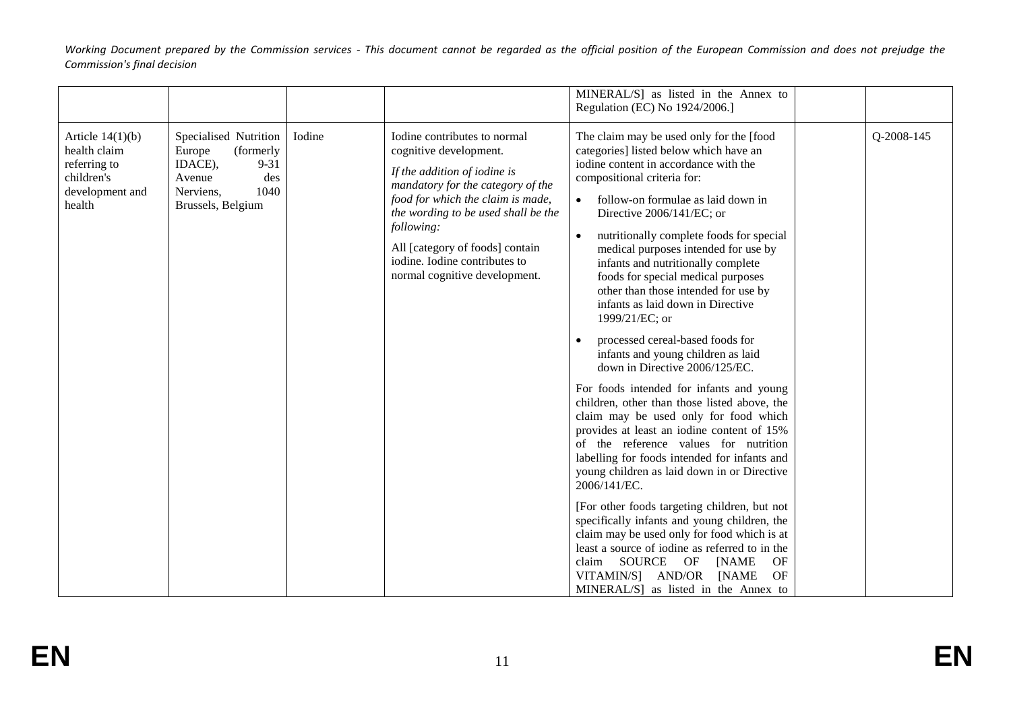|                                                                                               |                                                                                                                                |        |                                                                                                                                                                                                                                                                                                                            | MINERAL/S] as listed in the Annex to<br>Regulation (EC) No 1924/2006.]                                                                                                                                                                                                                                                                                                                                                                                                                                                                                                                                                                                                                                                                                                                                                                                                                                                                                                                                                                                                                                                                                                                                                                                                |            |
|-----------------------------------------------------------------------------------------------|--------------------------------------------------------------------------------------------------------------------------------|--------|----------------------------------------------------------------------------------------------------------------------------------------------------------------------------------------------------------------------------------------------------------------------------------------------------------------------------|-----------------------------------------------------------------------------------------------------------------------------------------------------------------------------------------------------------------------------------------------------------------------------------------------------------------------------------------------------------------------------------------------------------------------------------------------------------------------------------------------------------------------------------------------------------------------------------------------------------------------------------------------------------------------------------------------------------------------------------------------------------------------------------------------------------------------------------------------------------------------------------------------------------------------------------------------------------------------------------------------------------------------------------------------------------------------------------------------------------------------------------------------------------------------------------------------------------------------------------------------------------------------|------------|
| Article $14(1)(b)$<br>health claim<br>referring to<br>children's<br>development and<br>health | Specialised Nutrition<br>Europe<br>(formerly<br>IDACE),<br>$9 - 31$<br>des<br>Avenue<br>1040<br>Nerviens,<br>Brussels, Belgium | Iodine | Iodine contributes to normal<br>cognitive development.<br>If the addition of iodine is<br>mandatory for the category of the<br>food for which the claim is made,<br>the wording to be used shall be the<br>following:<br>All [category of foods] contain<br>iodine. Iodine contributes to<br>normal cognitive development. | The claim may be used only for the [food<br>categories] listed below which have an<br>iodine content in accordance with the<br>compositional criteria for:<br>follow-on formulae as laid down in<br>Directive 2006/141/EC; or<br>nutritionally complete foods for special<br>medical purposes intended for use by<br>infants and nutritionally complete<br>foods for special medical purposes<br>other than those intended for use by<br>infants as laid down in Directive<br>1999/21/EC; or<br>processed cereal-based foods for<br>infants and young children as laid<br>down in Directive 2006/125/EC.<br>For foods intended for infants and young<br>children, other than those listed above, the<br>claim may be used only for food which<br>provides at least an iodine content of 15%<br>of the reference values for nutrition<br>labelling for foods intended for infants and<br>young children as laid down in or Directive<br>2006/141/EC.<br>[For other foods targeting children, but not<br>specifically infants and young children, the<br>claim may be used only for food which is at<br>least a source of iodine as referred to in the<br>claim SOURCE<br>OF<br>OF<br>[NAME<br>VITAMIN/S] AND/OR<br>[NAME<br>OF<br>MINERAL/S] as listed in the Annex to | Q-2008-145 |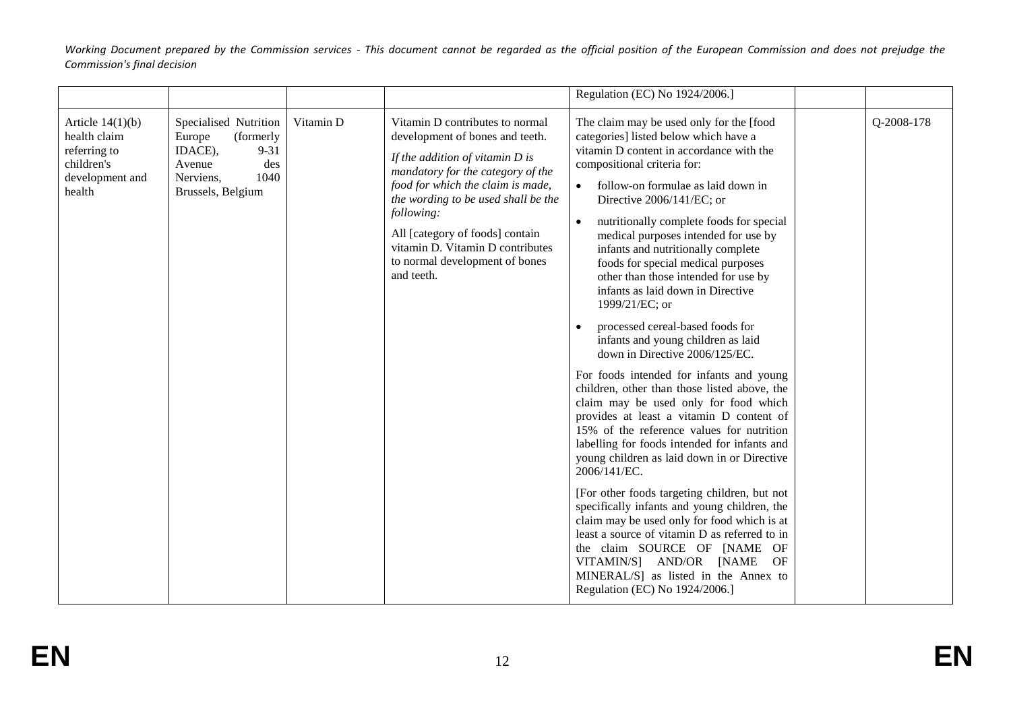|                                                                                               |                                                                                                                                |           |                                                                                                                                                                                                                                                                                                                                                               | Regulation (EC) No 1924/2006.]                                                                                                                                                                                                                                                                                                                                                                                                                                                                                                                                                                                                                                                                                                                                                                                                                                                                                                                                                                                                                                                                                                                                                                                                                                                                                               |            |
|-----------------------------------------------------------------------------------------------|--------------------------------------------------------------------------------------------------------------------------------|-----------|---------------------------------------------------------------------------------------------------------------------------------------------------------------------------------------------------------------------------------------------------------------------------------------------------------------------------------------------------------------|------------------------------------------------------------------------------------------------------------------------------------------------------------------------------------------------------------------------------------------------------------------------------------------------------------------------------------------------------------------------------------------------------------------------------------------------------------------------------------------------------------------------------------------------------------------------------------------------------------------------------------------------------------------------------------------------------------------------------------------------------------------------------------------------------------------------------------------------------------------------------------------------------------------------------------------------------------------------------------------------------------------------------------------------------------------------------------------------------------------------------------------------------------------------------------------------------------------------------------------------------------------------------------------------------------------------------|------------|
| Article $14(1)(b)$<br>health claim<br>referring to<br>children's<br>development and<br>health | Specialised Nutrition<br>Europe<br>(formerly<br>IDACE),<br>$9 - 31$<br>Avenue<br>des<br>1040<br>Nerviens,<br>Brussels, Belgium | Vitamin D | Vitamin D contributes to normal<br>development of bones and teeth.<br>If the addition of vitamin $D$ is<br>mandatory for the category of the<br>food for which the claim is made,<br>the wording to be used shall be the<br>following:<br>All [category of foods] contain<br>vitamin D. Vitamin D contributes<br>to normal development of bones<br>and teeth. | The claim may be used only for the [food<br>categories] listed below which have a<br>vitamin D content in accordance with the<br>compositional criteria for:<br>follow-on formulae as laid down in<br>$\bullet$<br>Directive 2006/141/EC; or<br>nutritionally complete foods for special<br>$\bullet$<br>medical purposes intended for use by<br>infants and nutritionally complete<br>foods for special medical purposes<br>other than those intended for use by<br>infants as laid down in Directive<br>1999/21/EC; or<br>processed cereal-based foods for<br>infants and young children as laid<br>down in Directive 2006/125/EC.<br>For foods intended for infants and young<br>children, other than those listed above, the<br>claim may be used only for food which<br>provides at least a vitamin D content of<br>15% of the reference values for nutrition<br>labelling for foods intended for infants and<br>young children as laid down in or Directive<br>2006/141/EC.<br>[For other foods targeting children, but not<br>specifically infants and young children, the<br>claim may be used only for food which is at<br>least a source of vitamin D as referred to in<br>the claim SOURCE OF [NAME OF<br>VITAMIN/S] AND/OR [NAME<br>OF<br>MINERAL/S] as listed in the Annex to<br>Regulation (EC) No 1924/2006.] | Q-2008-178 |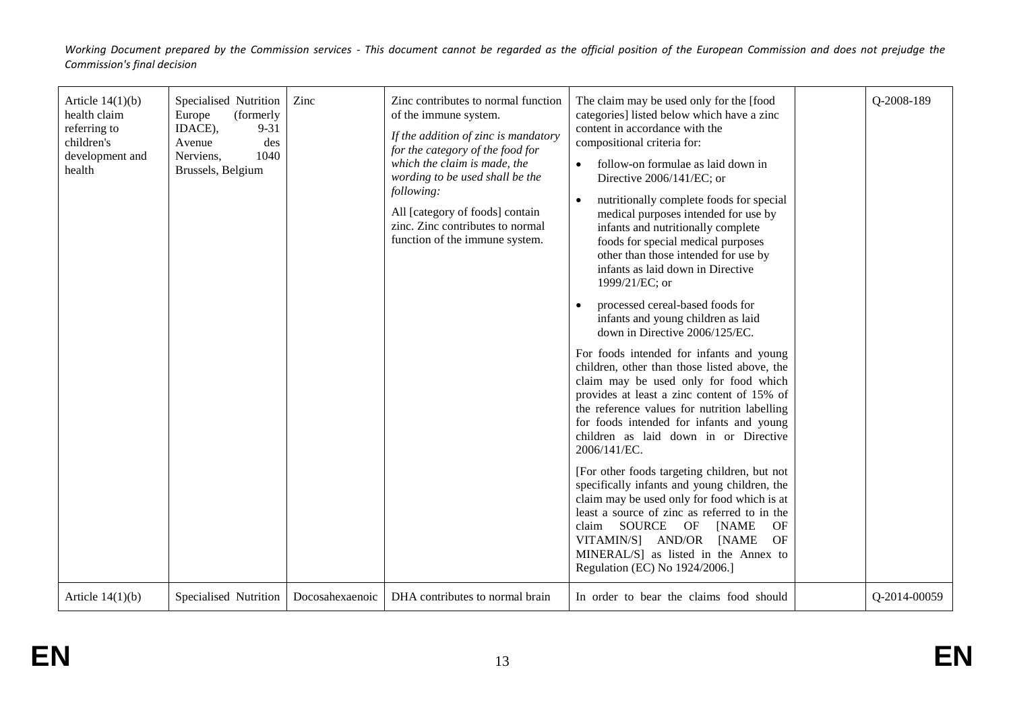| Article $14(1)(b)$<br>health claim<br>referring to<br>children's<br>development and<br>health | Specialised Nutrition<br>(formerly<br>Europe<br>IDACE),<br>$9 - 31$<br>des<br>Avenue<br>1040<br>Nerviens,<br>Brussels, Belgium | Zinc            | Zinc contributes to normal function<br>of the immune system.<br>If the addition of zinc is mandatory<br>for the category of the food for<br>which the claim is made, the<br>wording to be used shall be the<br>following:<br>All [category of foods] contain<br>zinc. Zinc contributes to normal<br>function of the immune system. | The claim may be used only for the [food]<br>categories] listed below which have a zinc<br>content in accordance with the<br>compositional criteria for:<br>follow-on formulae as laid down in<br>Directive 2006/141/EC; or<br>nutritionally complete foods for special<br>$\bullet$<br>medical purposes intended for use by<br>infants and nutritionally complete<br>foods for special medical purposes<br>other than those intended for use by<br>infants as laid down in Directive<br>1999/21/EC; or<br>processed cereal-based foods for<br>infants and young children as laid<br>down in Directive 2006/125/EC.<br>For foods intended for infants and young<br>children, other than those listed above, the<br>claim may be used only for food which<br>provides at least a zinc content of 15% of<br>the reference values for nutrition labelling<br>for foods intended for infants and young<br>children as laid down in or Directive<br>2006/141/EC.<br>[For other foods targeting children, but not<br>specifically infants and young children, the<br>claim may be used only for food which is at<br>least a source of zinc as referred to in the<br>SOURCE<br>OF<br>claim<br>OF<br>[NAME]<br>VITAMIN/S] AND/OR<br>[NAME<br>OF<br>MINERAL/S] as listed in the Annex to<br>Regulation (EC) No 1924/2006.] | Q-2008-189   |
|-----------------------------------------------------------------------------------------------|--------------------------------------------------------------------------------------------------------------------------------|-----------------|------------------------------------------------------------------------------------------------------------------------------------------------------------------------------------------------------------------------------------------------------------------------------------------------------------------------------------|-------------------------------------------------------------------------------------------------------------------------------------------------------------------------------------------------------------------------------------------------------------------------------------------------------------------------------------------------------------------------------------------------------------------------------------------------------------------------------------------------------------------------------------------------------------------------------------------------------------------------------------------------------------------------------------------------------------------------------------------------------------------------------------------------------------------------------------------------------------------------------------------------------------------------------------------------------------------------------------------------------------------------------------------------------------------------------------------------------------------------------------------------------------------------------------------------------------------------------------------------------------------------------------------------------------------|--------------|
| Article $14(1)(b)$                                                                            | Specialised Nutrition                                                                                                          | Docosahexaenoic | DHA contributes to normal brain                                                                                                                                                                                                                                                                                                    | In order to bear the claims food should                                                                                                                                                                                                                                                                                                                                                                                                                                                                                                                                                                                                                                                                                                                                                                                                                                                                                                                                                                                                                                                                                                                                                                                                                                                                           | Q-2014-00059 |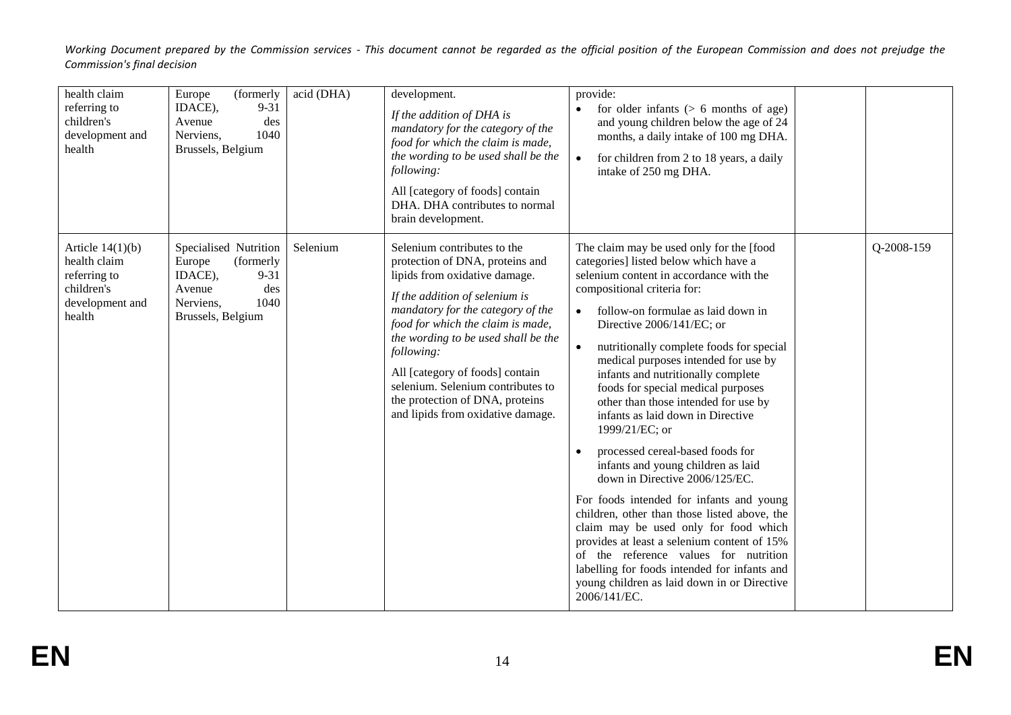| health claim<br>Europe<br>referring to<br>children's<br>development and<br>health                       | (formerly<br>IDACE),<br>$9 - 31$<br>Avenue<br>des<br>1040<br>Nerviens,<br>Brussels, Belgium                          | acid (DHA) | development.<br>If the addition of DHA is<br>mandatory for the category of the<br>food for which the claim is made,<br>the wording to be used shall be the<br>following:<br>All [category of foods] contain<br>DHA. DHA contributes to normal<br>brain development.                                                                                                                                              | provide:<br>for older infants $(> 6$ months of age)<br>$\bullet$<br>and young children below the age of 24<br>months, a daily intake of 100 mg DHA.<br>for children from 2 to 18 years, a daily<br>$\bullet$<br>intake of 250 mg DHA.                                                                                                                                                                                                                                                                                                                                                                                                                                                                                                                                                                                                                                                                                                                              |            |
|---------------------------------------------------------------------------------------------------------|----------------------------------------------------------------------------------------------------------------------|------------|------------------------------------------------------------------------------------------------------------------------------------------------------------------------------------------------------------------------------------------------------------------------------------------------------------------------------------------------------------------------------------------------------------------|--------------------------------------------------------------------------------------------------------------------------------------------------------------------------------------------------------------------------------------------------------------------------------------------------------------------------------------------------------------------------------------------------------------------------------------------------------------------------------------------------------------------------------------------------------------------------------------------------------------------------------------------------------------------------------------------------------------------------------------------------------------------------------------------------------------------------------------------------------------------------------------------------------------------------------------------------------------------|------------|
| Article $14(1)(b)$<br>health claim<br>Europe<br>referring to<br>children's<br>development and<br>health | Specialised Nutrition<br>(formerly<br>IDACE),<br>$9 - 31$<br>Avenue<br>des<br>1040<br>Nerviens,<br>Brussels, Belgium | Selenium   | Selenium contributes to the<br>protection of DNA, proteins and<br>lipids from oxidative damage.<br>If the addition of selenium is<br>mandatory for the category of the<br>food for which the claim is made,<br>the wording to be used shall be the<br>following:<br>All [category of foods] contain<br>selenium. Selenium contributes to<br>the protection of DNA, proteins<br>and lipids from oxidative damage. | The claim may be used only for the [food<br>categories] listed below which have a<br>selenium content in accordance with the<br>compositional criteria for:<br>follow-on formulae as laid down in<br>$\bullet$<br>Directive 2006/141/EC; or<br>nutritionally complete foods for special<br>medical purposes intended for use by<br>infants and nutritionally complete<br>foods for special medical purposes<br>other than those intended for use by<br>infants as laid down in Directive<br>1999/21/EC; or<br>processed cereal-based foods for<br>infants and young children as laid<br>down in Directive 2006/125/EC.<br>For foods intended for infants and young<br>children, other than those listed above, the<br>claim may be used only for food which<br>provides at least a selenium content of 15%<br>of the reference values for nutrition<br>labelling for foods intended for infants and<br>young children as laid down in or Directive<br>2006/141/EC. | Q-2008-159 |